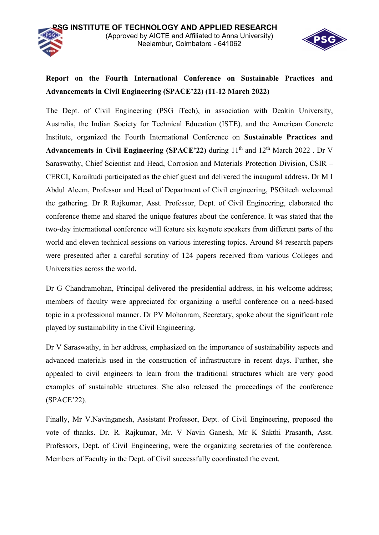

## **Report on the Fourth International Conference on Sustainable Practices and Advancements in Civil Engineering (SPACE'22) (11-12 March 2022)**

The Dept. of Civil Engineering (PSG iTech), in association with Deakin University, Australia, the Indian Society for Technical Education (ISTE), and the American Concrete Institute, organized the Fourth International Conference on **Sustainable Practices and Advancements in Civil Engineering (SPACE'22)** during  $11<sup>th</sup>$  and  $12<sup>th</sup>$  March 2022. Dr V Saraswathy, Chief Scientist and Head, Corrosion and Materials Protection Division, CSIR – CERCI, Karaikudi participated as the chief guest and delivered the inaugural address. Dr M I Abdul Aleem, Professor and Head of Department of Civil engineering, PSGitech welcomed the gathering. Dr R Rajkumar, Asst. Professor, Dept. of Civil Engineering, elaborated the conference theme and shared the unique features about the conference. It was stated that the two-day international conference will feature six keynote speakers from different parts of the world and eleven technical sessions on various interesting topics. Around 84 research papers were presented after a careful scrutiny of 124 papers received from various Colleges and Universities across the world.

Dr G Chandramohan, Principal delivered the presidential address, in his welcome address; members of faculty were appreciated for organizing a useful conference on a need-based topic in a professional manner. Dr PV Mohanram, Secretary, spoke about the significant role played by sustainability in the Civil Engineering.

Dr V Saraswathy, in her address, emphasized on the importance of sustainability aspects and advanced materials used in the construction of infrastructure in recent days. Further, she appealed to civil engineers to learn from the traditional structures which are very good examples of sustainable structures. She also released the proceedings of the conference (SPACE'22).

Finally, Mr V.Navinganesh, Assistant Professor, Dept. of Civil Engineering, proposed the vote of thanks. Dr. R. Rajkumar, Mr. V Navin Ganesh, Mr K Sakthi Prasanth, Asst. Professors, Dept. of Civil Engineering, were the organizing secretaries of the conference. Members of Faculty in the Dept. of Civil successfully coordinated the event.